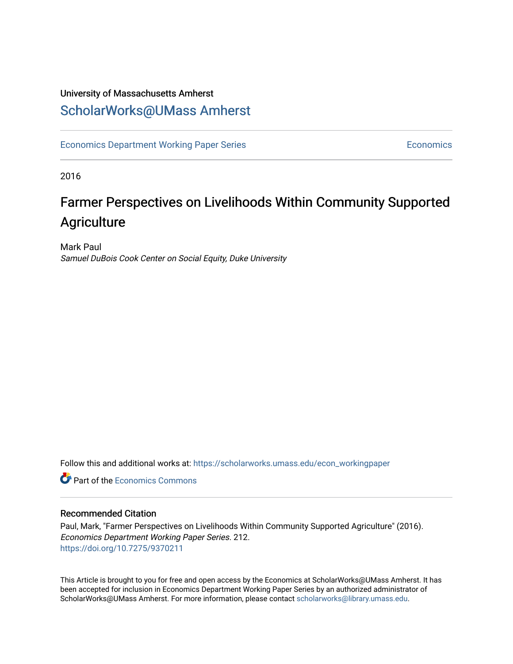### University of Massachusetts Amherst [ScholarWorks@UMass Amherst](https://scholarworks.umass.edu/)

[Economics Department Working Paper Series](https://scholarworks.umass.edu/econ_workingpaper) **Economics** Economics

2016

### Farmer Perspectives on Livelihoods Within Community Supported **Agriculture**

Mark Paul Samuel DuBois Cook Center on Social Equity, Duke University

Follow this and additional works at: [https://scholarworks.umass.edu/econ\\_workingpaper](https://scholarworks.umass.edu/econ_workingpaper?utm_source=scholarworks.umass.edu%2Fecon_workingpaper%2F212&utm_medium=PDF&utm_campaign=PDFCoverPages) 

**C** Part of the [Economics Commons](http://network.bepress.com/hgg/discipline/340?utm_source=scholarworks.umass.edu%2Fecon_workingpaper%2F212&utm_medium=PDF&utm_campaign=PDFCoverPages)

#### Recommended Citation

Paul, Mark, "Farmer Perspectives on Livelihoods Within Community Supported Agriculture" (2016). Economics Department Working Paper Series. 212. <https://doi.org/10.7275/9370211>

This Article is brought to you for free and open access by the Economics at ScholarWorks@UMass Amherst. It has been accepted for inclusion in Economics Department Working Paper Series by an authorized administrator of ScholarWorks@UMass Amherst. For more information, please contact [scholarworks@library.umass.edu.](mailto:scholarworks@library.umass.edu)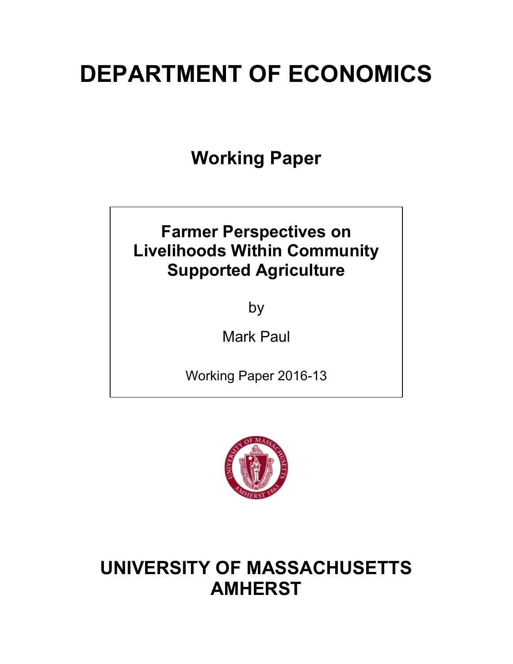# **DEPARTMENT OF ECONOMICS**

**Working Paper**

### **Farmer Perspectives on Livelihoods Within Community Supported Agriculture**

by

Mark Paul

Working Paper 2016-13



## **UNIVERSITY OF MASSACHUSETTS AMHERST**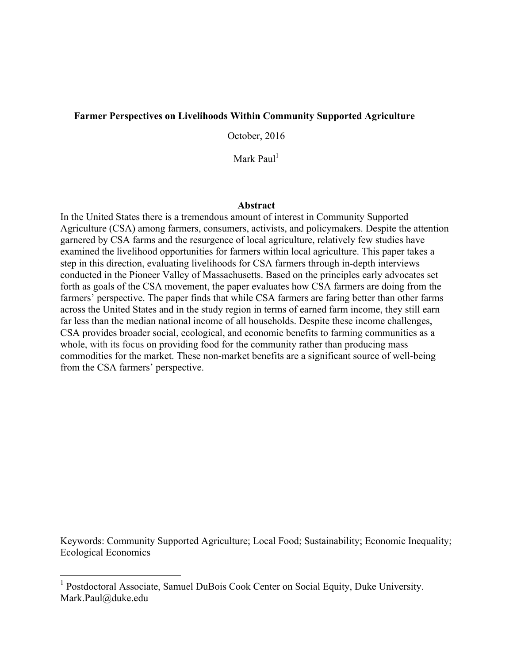#### **Farmer Perspectives on Livelihoods Within Community Supported Agriculture**

October, 2016

Mark Paul<sup>1</sup>

#### **Abstract**

In the United States there is a tremendous amount of interest in Community Supported Agriculture (CSA) among farmers, consumers, activists, and policymakers. Despite the attention garnered by CSA farms and the resurgence of local agriculture, relatively few studies have examined the livelihood opportunities for farmers within local agriculture. This paper takes a step in this direction, evaluating livelihoods for CSA farmers through in-depth interviews conducted in the Pioneer Valley of Massachusetts. Based on the principles early advocates set forth as goals of the CSA movement, the paper evaluates how CSA farmers are doing from the farmers' perspective. The paper finds that while CSA farmers are faring better than other farms across the United States and in the study region in terms of earned farm income, they still earn far less than the median national income of all households. Despite these income challenges, CSA provides broader social, ecological, and economic benefits to farming communities as a whole, with its focus on providing food for the community rather than producing mass commodities for the market. These non-market benefits are a significant source of well-being from the CSA farmers' perspective.

Keywords: Community Supported Agriculture; Local Food; Sustainability; Economic Inequality; Ecological Economics

<sup>&</sup>lt;sup>1</sup> Postdoctoral Associate, Samuel DuBois Cook Center on Social Equity, Duke University. Mark.Paul@duke.edu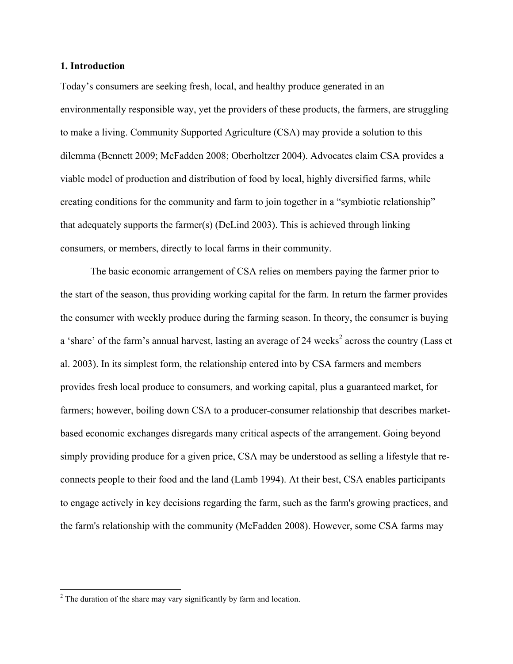#### **1. Introduction**

Today's consumers are seeking fresh, local, and healthy produce generated in an environmentally responsible way, yet the providers of these products, the farmers, are struggling to make a living. Community Supported Agriculture (CSA) may provide a solution to this dilemma (Bennett 2009; McFadden 2008; Oberholtzer 2004). Advocates claim CSA provides a viable model of production and distribution of food by local, highly diversified farms, while creating conditions for the community and farm to join together in a "symbiotic relationship" that adequately supports the farmer(s) (DeLind 2003). This is achieved through linking consumers, or members, directly to local farms in their community.

The basic economic arrangement of CSA relies on members paying the farmer prior to the start of the season, thus providing working capital for the farm. In return the farmer provides the consumer with weekly produce during the farming season. In theory, the consumer is buying a 'share' of the farm's annual harvest, lasting an average of 24 weeks<sup>2</sup> across the country (Lass et al. 2003). In its simplest form, the relationship entered into by CSA farmers and members provides fresh local produce to consumers, and working capital, plus a guaranteed market, for farmers; however, boiling down CSA to a producer-consumer relationship that describes marketbased economic exchanges disregards many critical aspects of the arrangement. Going beyond simply providing produce for a given price, CSA may be understood as selling a lifestyle that reconnects people to their food and the land (Lamb 1994). At their best, CSA enables participants to engage actively in key decisions regarding the farm, such as the farm's growing practices, and the farm's relationship with the community (McFadden 2008). However, some CSA farms may

 $2^2$  The duration of the share may vary significantly by farm and location.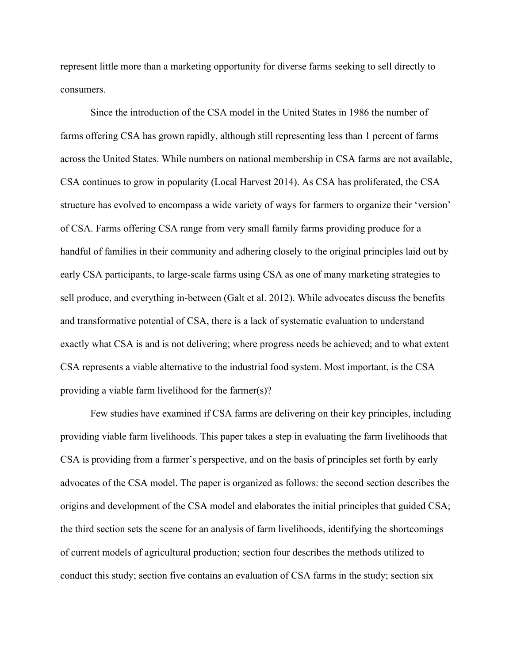represent little more than a marketing opportunity for diverse farms seeking to sell directly to consumers.

Since the introduction of the CSA model in the United States in 1986 the number of farms offering CSA has grown rapidly, although still representing less than 1 percent of farms across the United States. While numbers on national membership in CSA farms are not available, CSA continues to grow in popularity (Local Harvest 2014). As CSA has proliferated, the CSA structure has evolved to encompass a wide variety of ways for farmers to organize their 'version' of CSA. Farms offering CSA range from very small family farms providing produce for a handful of families in their community and adhering closely to the original principles laid out by early CSA participants, to large-scale farms using CSA as one of many marketing strategies to sell produce, and everything in-between (Galt et al. 2012). While advocates discuss the benefits and transformative potential of CSA, there is a lack of systematic evaluation to understand exactly what CSA is and is not delivering; where progress needs be achieved; and to what extent CSA represents a viable alternative to the industrial food system. Most important, is the CSA providing a viable farm livelihood for the farmer(s)?

Few studies have examined if CSA farms are delivering on their key principles, including providing viable farm livelihoods. This paper takes a step in evaluating the farm livelihoods that CSA is providing from a farmer's perspective, and on the basis of principles set forth by early advocates of the CSA model. The paper is organized as follows: the second section describes the origins and development of the CSA model and elaborates the initial principles that guided CSA; the third section sets the scene for an analysis of farm livelihoods, identifying the shortcomings of current models of agricultural production; section four describes the methods utilized to conduct this study; section five contains an evaluation of CSA farms in the study; section six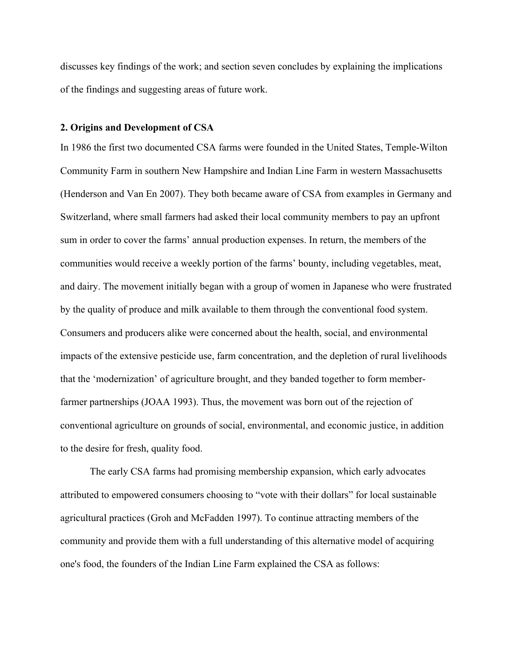discusses key findings of the work; and section seven concludes by explaining the implications of the findings and suggesting areas of future work.

#### **2. Origins and Development of CSA**

In 1986 the first two documented CSA farms were founded in the United States, Temple-Wilton Community Farm in southern New Hampshire and Indian Line Farm in western Massachusetts (Henderson and Van En 2007). They both became aware of CSA from examples in Germany and Switzerland, where small farmers had asked their local community members to pay an upfront sum in order to cover the farms' annual production expenses. In return, the members of the communities would receive a weekly portion of the farms' bounty, including vegetables, meat, and dairy. The movement initially began with a group of women in Japanese who were frustrated by the quality of produce and milk available to them through the conventional food system. Consumers and producers alike were concerned about the health, social, and environmental impacts of the extensive pesticide use, farm concentration, and the depletion of rural livelihoods that the 'modernization' of agriculture brought, and they banded together to form memberfarmer partnerships (JOAA 1993). Thus, the movement was born out of the rejection of conventional agriculture on grounds of social, environmental, and economic justice, in addition to the desire for fresh, quality food.

The early CSA farms had promising membership expansion, which early advocates attributed to empowered consumers choosing to "vote with their dollars" for local sustainable agricultural practices (Groh and McFadden 1997). To continue attracting members of the community and provide them with a full understanding of this alternative model of acquiring one's food, the founders of the Indian Line Farm explained the CSA as follows: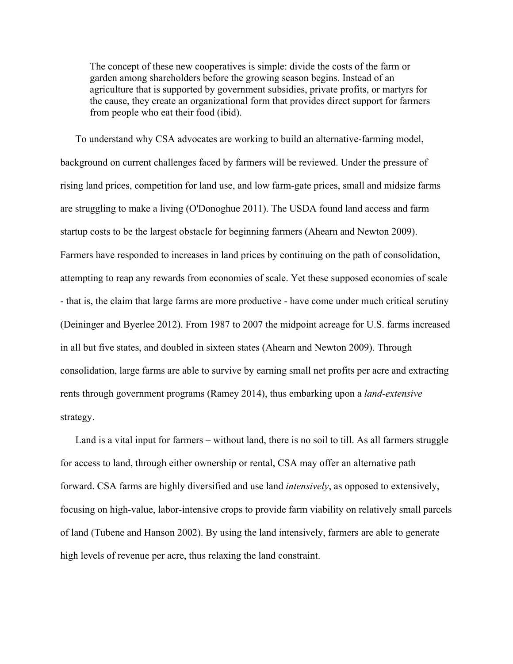The concept of these new cooperatives is simple: divide the costs of the farm or garden among shareholders before the growing season begins. Instead of an agriculture that is supported by government subsidies, private profits, or martyrs for the cause, they create an organizational form that provides direct support for farmers from people who eat their food (ibid).

To understand why CSA advocates are working to build an alternative-farming model, background on current challenges faced by farmers will be reviewed. Under the pressure of rising land prices, competition for land use, and low farm-gate prices, small and midsize farms are struggling to make a living (O'Donoghue 2011). The USDA found land access and farm startup costs to be the largest obstacle for beginning farmers (Ahearn and Newton 2009). Farmers have responded to increases in land prices by continuing on the path of consolidation, attempting to reap any rewards from economies of scale. Yet these supposed economies of scale - that is, the claim that large farms are more productive - have come under much critical scrutiny (Deininger and Byerlee 2012). From 1987 to 2007 the midpoint acreage for U.S. farms increased in all but five states, and doubled in sixteen states (Ahearn and Newton 2009). Through consolidation, large farms are able to survive by earning small net profits per acre and extracting rents through government programs (Ramey 2014), thus embarking upon a *land*-*extensive* strategy.

Land is a vital input for farmers – without land, there is no soil to till. As all farmers struggle for access to land, through either ownership or rental, CSA may offer an alternative path forward. CSA farms are highly diversified and use land *intensively*, as opposed to extensively, focusing on high-value, labor-intensive crops to provide farm viability on relatively small parcels of land (Tubene and Hanson 2002). By using the land intensively, farmers are able to generate high levels of revenue per acre, thus relaxing the land constraint.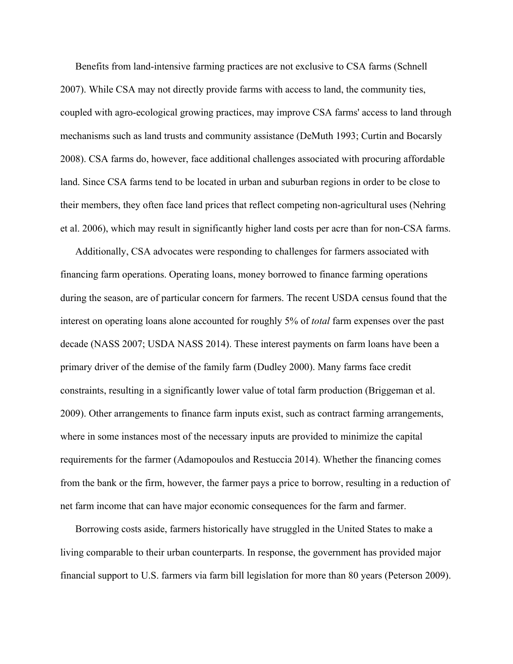Benefits from land-intensive farming practices are not exclusive to CSA farms (Schnell 2007). While CSA may not directly provide farms with access to land, the community ties, coupled with agro-ecological growing practices, may improve CSA farms' access to land through mechanisms such as land trusts and community assistance (DeMuth 1993; Curtin and Bocarsly 2008). CSA farms do, however, face additional challenges associated with procuring affordable land. Since CSA farms tend to be located in urban and suburban regions in order to be close to their members, they often face land prices that reflect competing non-agricultural uses (Nehring et al. 2006), which may result in significantly higher land costs per acre than for non-CSA farms.

Additionally, CSA advocates were responding to challenges for farmers associated with financing farm operations. Operating loans, money borrowed to finance farming operations during the season, are of particular concern for farmers. The recent USDA census found that the interest on operating loans alone accounted for roughly 5% of *total* farm expenses over the past decade (NASS 2007; USDA NASS 2014). These interest payments on farm loans have been a primary driver of the demise of the family farm (Dudley 2000). Many farms face credit constraints, resulting in a significantly lower value of total farm production (Briggeman et al. 2009). Other arrangements to finance farm inputs exist, such as contract farming arrangements, where in some instances most of the necessary inputs are provided to minimize the capital requirements for the farmer (Adamopoulos and Restuccia 2014). Whether the financing comes from the bank or the firm, however, the farmer pays a price to borrow, resulting in a reduction of net farm income that can have major economic consequences for the farm and farmer.

Borrowing costs aside, farmers historically have struggled in the United States to make a living comparable to their urban counterparts. In response, the government has provided major financial support to U.S. farmers via farm bill legislation for more than 80 years (Peterson 2009).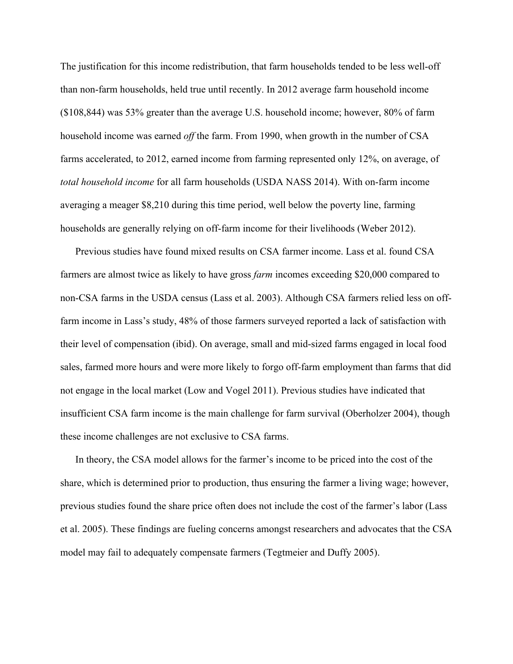The justification for this income redistribution, that farm households tended to be less well-off than non-farm households, held true until recently. In 2012 average farm household income (\$108,844) was 53% greater than the average U.S. household income; however, 80% of farm household income was earned *off* the farm. From 1990, when growth in the number of CSA farms accelerated, to 2012, earned income from farming represented only 12%, on average, of *total household income* for all farm households (USDA NASS 2014). With on-farm income averaging a meager \$8,210 during this time period, well below the poverty line, farming households are generally relying on off-farm income for their livelihoods (Weber 2012).

Previous studies have found mixed results on CSA farmer income. Lass et al. found CSA farmers are almost twice as likely to have gross *farm* incomes exceeding \$20,000 compared to non-CSA farms in the USDA census (Lass et al. 2003). Although CSA farmers relied less on offfarm income in Lass's study, 48% of those farmers surveyed reported a lack of satisfaction with their level of compensation (ibid). On average, small and mid-sized farms engaged in local food sales, farmed more hours and were more likely to forgo off-farm employment than farms that did not engage in the local market (Low and Vogel 2011). Previous studies have indicated that insufficient CSA farm income is the main challenge for farm survival (Oberholzer 2004), though these income challenges are not exclusive to CSA farms.

In theory, the CSA model allows for the farmer's income to be priced into the cost of the share, which is determined prior to production, thus ensuring the farmer a living wage; however, previous studies found the share price often does not include the cost of the farmer's labor (Lass et al. 2005). These findings are fueling concerns amongst researchers and advocates that the CSA model may fail to adequately compensate farmers (Tegtmeier and Duffy 2005).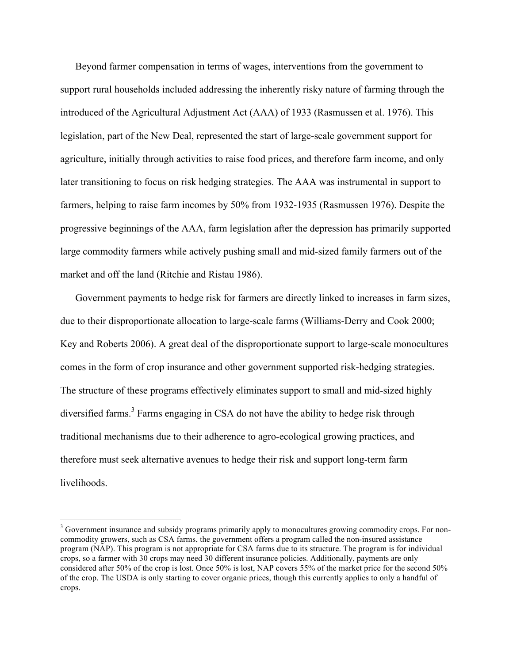Beyond farmer compensation in terms of wages, interventions from the government to support rural households included addressing the inherently risky nature of farming through the introduced of the Agricultural Adjustment Act (AAA) of 1933 (Rasmussen et al. 1976). This legislation, part of the New Deal, represented the start of large-scale government support for agriculture, initially through activities to raise food prices, and therefore farm income, and only later transitioning to focus on risk hedging strategies. The AAA was instrumental in support to farmers, helping to raise farm incomes by 50% from 1932-1935 (Rasmussen 1976). Despite the progressive beginnings of the AAA, farm legislation after the depression has primarily supported large commodity farmers while actively pushing small and mid-sized family farmers out of the market and off the land (Ritchie and Ristau 1986).

Government payments to hedge risk for farmers are directly linked to increases in farm sizes, due to their disproportionate allocation to large-scale farms (Williams-Derry and Cook 2000; Key and Roberts 2006). A great deal of the disproportionate support to large-scale monocultures comes in the form of crop insurance and other government supported risk-hedging strategies. The structure of these programs effectively eliminates support to small and mid-sized highly diversified farms.<sup>3</sup> Farms engaging in CSA do not have the ability to hedge risk through traditional mechanisms due to their adherence to agro-ecological growing practices, and therefore must seek alternative avenues to hedge their risk and support long-term farm livelihoods.

<sup>&</sup>lt;sup>3</sup> Government insurance and subsidy programs primarily apply to monocultures growing commodity crops. For noncommodity growers, such as CSA farms, the government offers a program called the non-insured assistance program (NAP). This program is not appropriate for CSA farms due to its structure. The program is for individual crops, so a farmer with 30 crops may need 30 different insurance policies. Additionally, payments are only considered after 50% of the crop is lost. Once 50% is lost, NAP covers 55% of the market price for the second 50% of the crop. The USDA is only starting to cover organic prices, though this currently applies to only a handful of crops.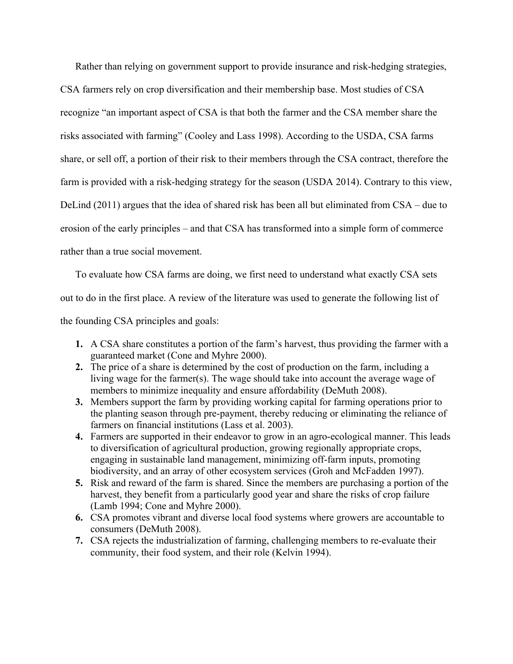Rather than relying on government support to provide insurance and risk-hedging strategies,

CSA farmers rely on crop diversification and their membership base. Most studies of CSA recognize "an important aspect of CSA is that both the farmer and the CSA member share the risks associated with farming" (Cooley and Lass 1998). According to the USDA, CSA farms share, or sell off, a portion of their risk to their members through the CSA contract, therefore the farm is provided with a risk-hedging strategy for the season (USDA 2014). Contrary to this view, DeLind (2011) argues that the idea of shared risk has been all but eliminated from CSA – due to erosion of the early principles – and that CSA has transformed into a simple form of commerce rather than a true social movement.

To evaluate how CSA farms are doing, we first need to understand what exactly CSA sets out to do in the first place. A review of the literature was used to generate the following list of the founding CSA principles and goals:

- **1.** A CSA share constitutes a portion of the farm's harvest, thus providing the farmer with a guaranteed market (Cone and Myhre 2000).
- **2.** The price of a share is determined by the cost of production on the farm, including a living wage for the farmer(s). The wage should take into account the average wage of members to minimize inequality and ensure affordability (DeMuth 2008).
- **3.** Members support the farm by providing working capital for farming operations prior to the planting season through pre-payment, thereby reducing or eliminating the reliance of farmers on financial institutions (Lass et al. 2003).
- **4.** Farmers are supported in their endeavor to grow in an agro-ecological manner. This leads to diversification of agricultural production, growing regionally appropriate crops, engaging in sustainable land management, minimizing off-farm inputs, promoting biodiversity, and an array of other ecosystem services (Groh and McFadden 1997).
- **5.** Risk and reward of the farm is shared. Since the members are purchasing a portion of the harvest, they benefit from a particularly good year and share the risks of crop failure (Lamb 1994; Cone and Myhre 2000).
- **6.** CSA promotes vibrant and diverse local food systems where growers are accountable to consumers (DeMuth 2008).
- **7.** CSA rejects the industrialization of farming, challenging members to re-evaluate their community, their food system, and their role (Kelvin 1994).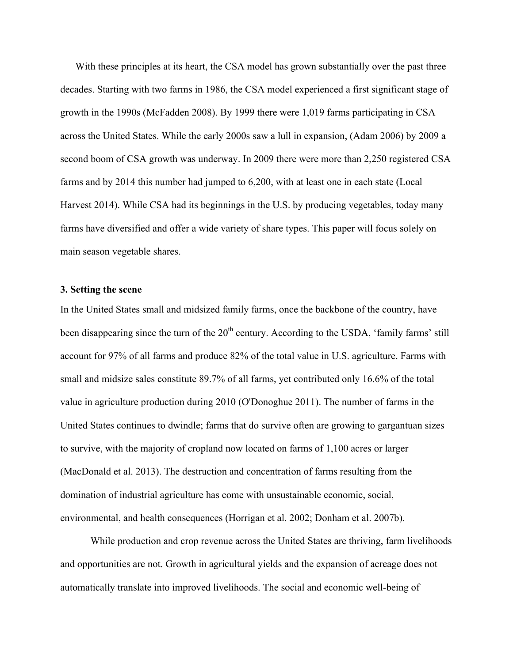With these principles at its heart, the CSA model has grown substantially over the past three decades. Starting with two farms in 1986, the CSA model experienced a first significant stage of growth in the 1990s (McFadden 2008). By 1999 there were 1,019 farms participating in CSA across the United States. While the early 2000s saw a lull in expansion, (Adam 2006) by 2009 a second boom of CSA growth was underway. In 2009 there were more than 2,250 registered CSA farms and by 2014 this number had jumped to 6,200, with at least one in each state (Local Harvest 2014). While CSA had its beginnings in the U.S. by producing vegetables, today many farms have diversified and offer a wide variety of share types. This paper will focus solely on main season vegetable shares.

#### **3. Setting the scene**

In the United States small and midsized family farms, once the backbone of the country, have been disappearing since the turn of the  $20<sup>th</sup>$  century. According to the USDA, 'family farms' still account for 97% of all farms and produce 82% of the total value in U.S. agriculture. Farms with small and midsize sales constitute 89.7% of all farms, yet contributed only 16.6% of the total value in agriculture production during 2010 (O'Donoghue 2011). The number of farms in the United States continues to dwindle; farms that do survive often are growing to gargantuan sizes to survive, with the majority of cropland now located on farms of 1,100 acres or larger (MacDonald et al. 2013). The destruction and concentration of farms resulting from the domination of industrial agriculture has come with unsustainable economic, social, environmental, and health consequences (Horrigan et al. 2002; Donham et al. 2007b).

While production and crop revenue across the United States are thriving, farm livelihoods and opportunities are not. Growth in agricultural yields and the expansion of acreage does not automatically translate into improved livelihoods. The social and economic well-being of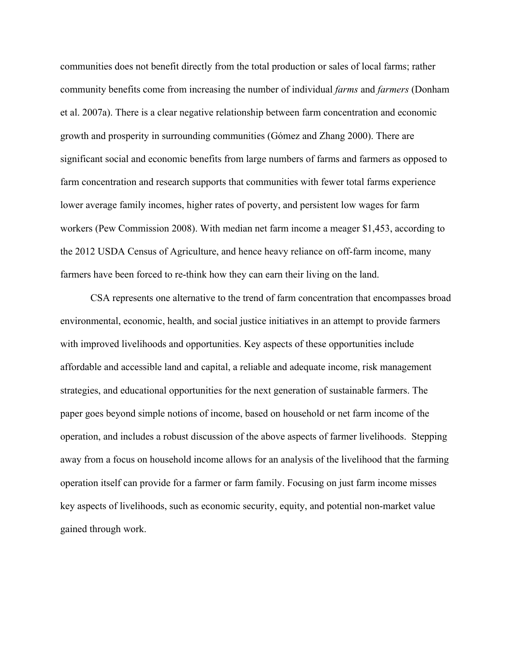communities does not benefit directly from the total production or sales of local farms; rather community benefits come from increasing the number of individual *farms* and *farmers* (Donham et al. 2007a). There is a clear negative relationship between farm concentration and economic growth and prosperity in surrounding communities (Gómez and Zhang 2000). There are significant social and economic benefits from large numbers of farms and farmers as opposed to farm concentration and research supports that communities with fewer total farms experience lower average family incomes, higher rates of poverty, and persistent low wages for farm workers (Pew Commission 2008). With median net farm income a meager \$1,453, according to the 2012 USDA Census of Agriculture, and hence heavy reliance on off-farm income, many farmers have been forced to re-think how they can earn their living on the land.

CSA represents one alternative to the trend of farm concentration that encompasses broad environmental, economic, health, and social justice initiatives in an attempt to provide farmers with improved livelihoods and opportunities. Key aspects of these opportunities include affordable and accessible land and capital, a reliable and adequate income, risk management strategies, and educational opportunities for the next generation of sustainable farmers. The paper goes beyond simple notions of income, based on household or net farm income of the operation, and includes a robust discussion of the above aspects of farmer livelihoods. Stepping away from a focus on household income allows for an analysis of the livelihood that the farming operation itself can provide for a farmer or farm family. Focusing on just farm income misses key aspects of livelihoods, such as economic security, equity, and potential non-market value gained through work.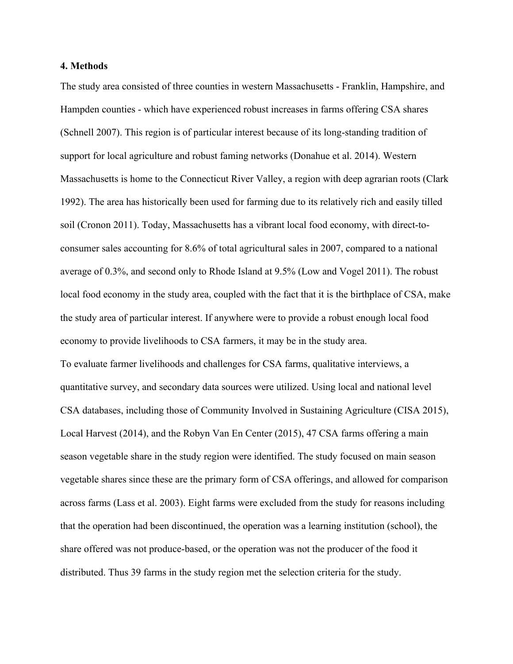#### **4. Methods**

The study area consisted of three counties in western Massachusetts - Franklin, Hampshire, and Hampden counties - which have experienced robust increases in farms offering CSA shares (Schnell 2007). This region is of particular interest because of its long-standing tradition of support for local agriculture and robust faming networks (Donahue et al. 2014). Western Massachusetts is home to the Connecticut River Valley, a region with deep agrarian roots (Clark 1992). The area has historically been used for farming due to its relatively rich and easily tilled soil (Cronon 2011). Today, Massachusetts has a vibrant local food economy, with direct-toconsumer sales accounting for 8.6% of total agricultural sales in 2007, compared to a national average of 0.3%, and second only to Rhode Island at 9.5% (Low and Vogel 2011). The robust local food economy in the study area, coupled with the fact that it is the birthplace of CSA, make the study area of particular interest. If anywhere were to provide a robust enough local food economy to provide livelihoods to CSA farmers, it may be in the study area. To evaluate farmer livelihoods and challenges for CSA farms, qualitative interviews, a quantitative survey, and secondary data sources were utilized. Using local and national level CSA databases, including those of Community Involved in Sustaining Agriculture (CISA 2015), Local Harvest (2014), and the Robyn Van En Center (2015), 47 CSA farms offering a main season vegetable share in the study region were identified. The study focused on main season vegetable shares since these are the primary form of CSA offerings, and allowed for comparison across farms (Lass et al. 2003). Eight farms were excluded from the study for reasons including that the operation had been discontinued, the operation was a learning institution (school), the share offered was not produce-based, or the operation was not the producer of the food it distributed. Thus 39 farms in the study region met the selection criteria for the study.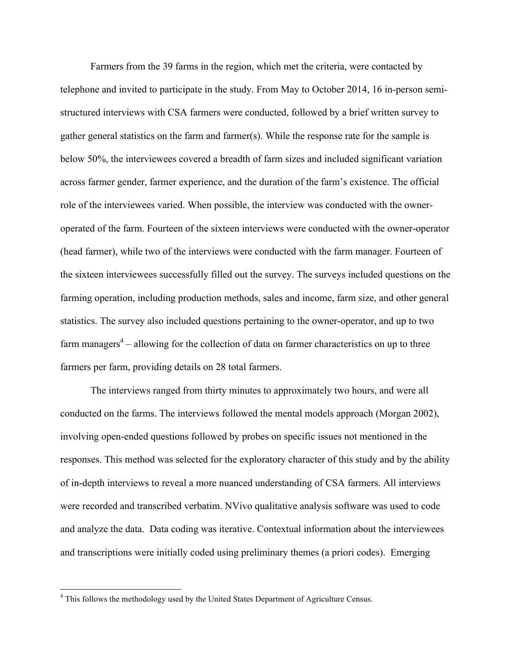Farmers from the 39 farms in the region, which met the criteria, were contacted by telephone and invited to participate in the study. From May to October 2014, 16 in-person semistructured interviews with CSA farmers were conducted, followed by a brief written survey to gather general statistics on the farm and farmer(s). While the response rate for the sample is below 50%, the interviewees covered a breadth of farm sizes and included significant variation across farmer gender, farmer experience, and the duration of the farm's existence. The official role of the interviewees varied. When possible, the interview was conducted with the owneroperated of the farm. Fourteen of the sixteen interviews were conducted with the owner-operator (head farmer), while two of the interviews were conducted with the farm manager. Fourteen of the sixteen interviewees successfully filled out the survey. The surveys included questions on the farming operation, including production methods, sales and income, farm size, and other general statistics. The survey also included questions pertaining to the owner-operator, and up to two farm managers<sup> $4$ </sup> – allowing for the collection of data on farmer characteristics on up to three farmers per farm, providing details on 28 total farmers.

The interviews ranged from thirty minutes to approximately two hours, and were all conducted on the farms. The interviews followed the mental models approach (Morgan 2002), involving open-ended questions followed by probes on specific issues not mentioned in the responses. This method was selected for the exploratory character of this study and by the ability of in-depth interviews to reveal a more nuanced understanding of CSA farmers. All interviews were recorded and transcribed verbatim. NVivo qualitative analysis software was used to code and analyze the data. Data coding was iterative. Contextual information about the interviewees and transcriptions were initially coded using preliminary themes (a priori codes). Emerging

 <sup>4</sup> This follows the methodology used by the United States Department of Agriculture Census.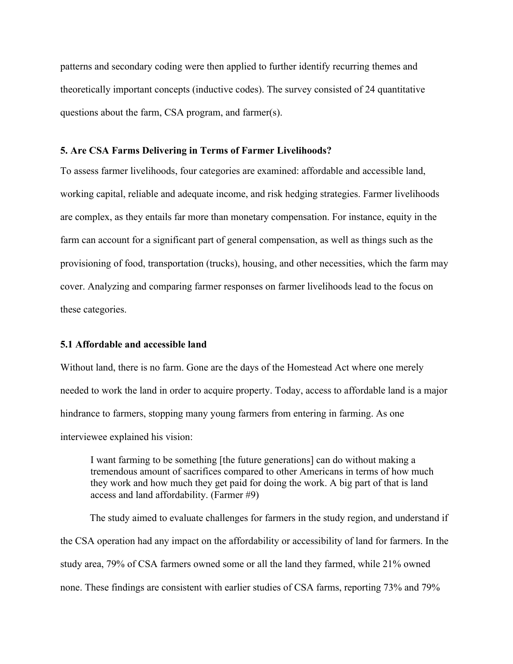patterns and secondary coding were then applied to further identify recurring themes and theoretically important concepts (inductive codes). The survey consisted of 24 quantitative questions about the farm, CSA program, and farmer(s).

#### **5. Are CSA Farms Delivering in Terms of Farmer Livelihoods?**

To assess farmer livelihoods, four categories are examined: affordable and accessible land, working capital, reliable and adequate income, and risk hedging strategies. Farmer livelihoods are complex, as they entails far more than monetary compensation. For instance, equity in the farm can account for a significant part of general compensation, as well as things such as the provisioning of food, transportation (trucks), housing, and other necessities, which the farm may cover. Analyzing and comparing farmer responses on farmer livelihoods lead to the focus on these categories.

#### **5.1 Affordable and accessible land**

Without land, there is no farm. Gone are the days of the Homestead Act where one merely needed to work the land in order to acquire property. Today, access to affordable land is a major hindrance to farmers, stopping many young farmers from entering in farming. As one interviewee explained his vision:

I want farming to be something [the future generations] can do without making a tremendous amount of sacrifices compared to other Americans in terms of how much they work and how much they get paid for doing the work. A big part of that is land access and land affordability. (Farmer #9)

The study aimed to evaluate challenges for farmers in the study region, and understand if the CSA operation had any impact on the affordability or accessibility of land for farmers. In the study area, 79% of CSA farmers owned some or all the land they farmed, while 21% owned none. These findings are consistent with earlier studies of CSA farms, reporting 73% and 79%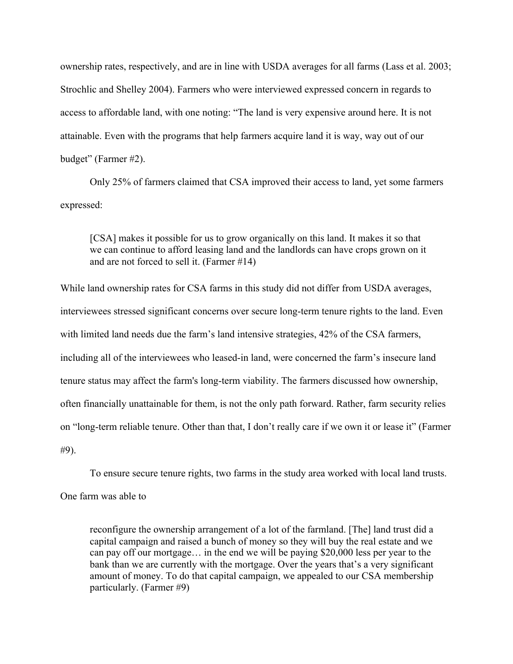ownership rates, respectively, and are in line with USDA averages for all farms (Lass et al. 2003; Strochlic and Shelley 2004). Farmers who were interviewed expressed concern in regards to access to affordable land, with one noting: "The land is very expensive around here. It is not attainable. Even with the programs that help farmers acquire land it is way, way out of our budget" (Farmer #2).

Only 25% of farmers claimed that CSA improved their access to land, yet some farmers expressed:

[CSA] makes it possible for us to grow organically on this land. It makes it so that we can continue to afford leasing land and the landlords can have crops grown on it and are not forced to sell it. (Farmer #14)

While land ownership rates for CSA farms in this study did not differ from USDA averages, interviewees stressed significant concerns over secure long-term tenure rights to the land. Even with limited land needs due the farm's land intensive strategies, 42% of the CSA farmers, including all of the interviewees who leased-in land, were concerned the farm's insecure land tenure status may affect the farm's long-term viability. The farmers discussed how ownership, often financially unattainable for them, is not the only path forward. Rather, farm security relies on "long-term reliable tenure. Other than that, I don't really care if we own it or lease it" (Farmer #9).

To ensure secure tenure rights, two farms in the study area worked with local land trusts.

One farm was able to

reconfigure the ownership arrangement of a lot of the farmland. [The] land trust did a capital campaign and raised a bunch of money so they will buy the real estate and we can pay off our mortgage… in the end we will be paying \$20,000 less per year to the bank than we are currently with the mortgage. Over the years that's a very significant amount of money. To do that capital campaign, we appealed to our CSA membership particularly. (Farmer #9)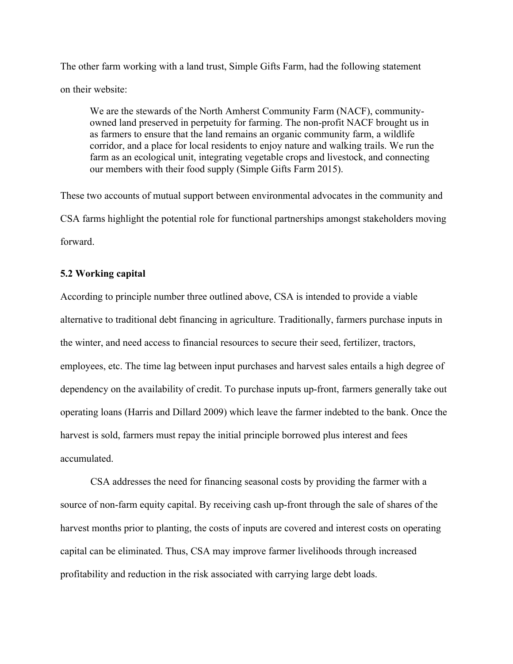The other farm working with a land trust, Simple Gifts Farm, had the following statement on their website:

We are the stewards of the North Amherst Community Farm (NACF), communityowned land preserved in perpetuity for farming. The non-profit NACF brought us in as farmers to ensure that the land remains an organic community farm, a wildlife corridor, and a place for local residents to enjoy nature and walking trails. We run the farm as an ecological unit, integrating vegetable crops and livestock, and connecting our members with their food supply (Simple Gifts Farm 2015).

These two accounts of mutual support between environmental advocates in the community and CSA farms highlight the potential role for functional partnerships amongst stakeholders moving forward.

#### **5.2 Working capital**

According to principle number three outlined above, CSA is intended to provide a viable alternative to traditional debt financing in agriculture. Traditionally, farmers purchase inputs in the winter, and need access to financial resources to secure their seed, fertilizer, tractors, employees, etc. The time lag between input purchases and harvest sales entails a high degree of dependency on the availability of credit. To purchase inputs up-front, farmers generally take out operating loans (Harris and Dillard 2009) which leave the farmer indebted to the bank. Once the harvest is sold, farmers must repay the initial principle borrowed plus interest and fees accumulated.

CSA addresses the need for financing seasonal costs by providing the farmer with a source of non-farm equity capital. By receiving cash up-front through the sale of shares of the harvest months prior to planting, the costs of inputs are covered and interest costs on operating capital can be eliminated. Thus, CSA may improve farmer livelihoods through increased profitability and reduction in the risk associated with carrying large debt loads.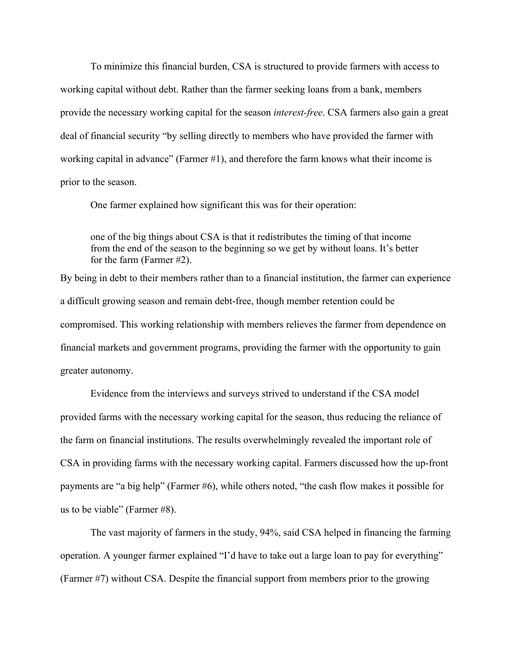To minimize this financial burden, CSA is structured to provide farmers with access to working capital without debt. Rather than the farmer seeking loans from a bank, members provide the necessary working capital for the season *interest-free*. CSA farmers also gain a great deal of financial security "by selling directly to members who have provided the farmer with working capital in advance" (Farmer #1), and therefore the farm knows what their income is prior to the season.

One farmer explained how significant this was for their operation:

one of the big things about CSA is that it redistributes the timing of that income from the end of the season to the beginning so we get by without loans. It's better for the farm (Farmer #2).

By being in debt to their members rather than to a financial institution, the farmer can experience a difficult growing season and remain debt-free, though member retention could be compromised. This working relationship with members relieves the farmer from dependence on financial markets and government programs, providing the farmer with the opportunity to gain greater autonomy.

Evidence from the interviews and surveys strived to understand if the CSA model provided farms with the necessary working capital for the season, thus reducing the reliance of the farm on financial institutions. The results overwhelmingly revealed the important role of CSA in providing farms with the necessary working capital. Farmers discussed how the up-front payments are "a big help" (Farmer #6), while others noted, "the cash flow makes it possible for us to be viable" (Farmer #8).

The vast majority of farmers in the study, 94%, said CSA helped in financing the farming operation. A younger farmer explained "I'd have to take out a large loan to pay for everything" (Farmer #7) without CSA. Despite the financial support from members prior to the growing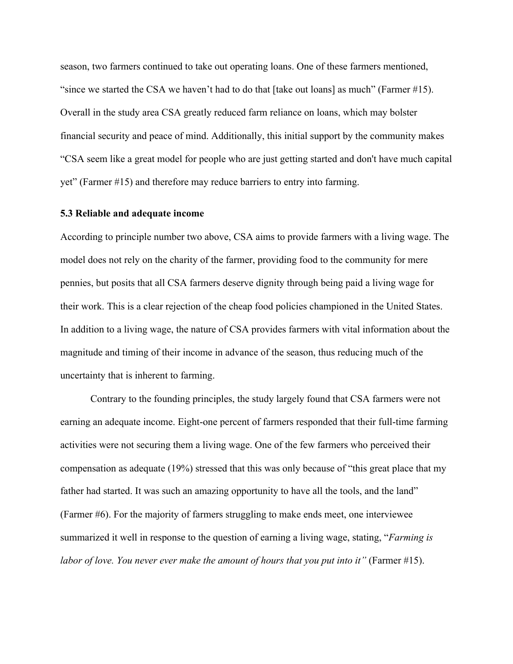season, two farmers continued to take out operating loans. One of these farmers mentioned, "since we started the CSA we haven't had to do that [take out loans] as much" (Farmer #15). Overall in the study area CSA greatly reduced farm reliance on loans, which may bolster financial security and peace of mind. Additionally, this initial support by the community makes "CSA seem like a great model for people who are just getting started and don't have much capital yet" (Farmer #15) and therefore may reduce barriers to entry into farming.

#### **5.3 Reliable and adequate income**

According to principle number two above, CSA aims to provide farmers with a living wage. The model does not rely on the charity of the farmer, providing food to the community for mere pennies, but posits that all CSA farmers deserve dignity through being paid a living wage for their work. This is a clear rejection of the cheap food policies championed in the United States. In addition to a living wage, the nature of CSA provides farmers with vital information about the magnitude and timing of their income in advance of the season, thus reducing much of the uncertainty that is inherent to farming.

Contrary to the founding principles, the study largely found that CSA farmers were not earning an adequate income. Eight-one percent of farmers responded that their full-time farming activities were not securing them a living wage. One of the few farmers who perceived their compensation as adequate (19%) stressed that this was only because of "this great place that my father had started. It was such an amazing opportunity to have all the tools, and the land" (Farmer #6). For the majority of farmers struggling to make ends meet, one interviewee summarized it well in response to the question of earning a living wage, stating, "*Farming is labor of love. You never ever make the amount of hours that you put into it"* (Farmer #15).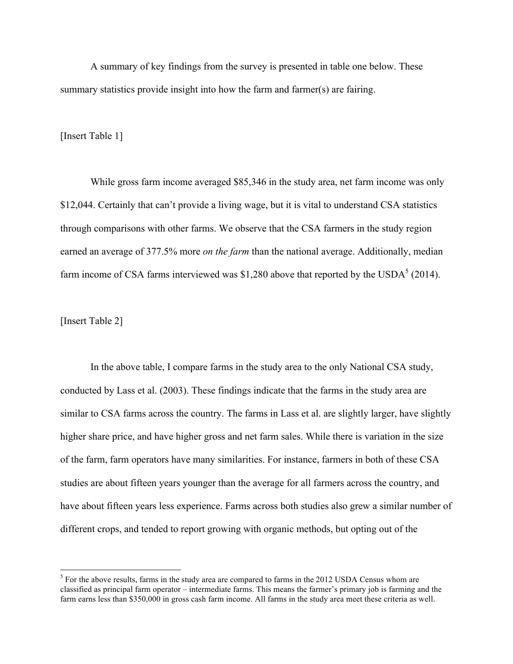A summary of key findings from the survey is presented in table one below. These summary statistics provide insight into how the farm and farmer(s) are fairing.

[Insert Table 1]

While gross farm income averaged \$85,346 in the study area, net farm income was only \$12,044. Certainly that can't provide a living wage, but it is vital to understand CSA statistics through comparisons with other farms. We observe that the CSA farmers in the study region earned an average of 377.5% more *on the farm* than the national average. Additionally, median farm income of CSA farms interviewed was \$1,280 above that reported by the USDA $^5$  (2014).

[Insert Table 2]

In the above table, I compare farms in the study area to the only National CSA study, conducted by Lass et al. (2003). These findings indicate that the farms in the study area are similar to CSA farms across the country. The farms in Lass et al. are slightly larger, have slightly higher share price, and have higher gross and net farm sales. While there is variation in the size of the farm, farm operators have many similarities. For instance, farmers in both of these CSA studies are about fifteen years younger than the average for all farmers across the country, and have about fifteen years less experience. Farms across both studies also grew a similar number of different crops, and tended to report growing with organic methods, but opting out of the

 $<sup>5</sup>$  For the above results, farms in the study area are compared to farms in the 2012 USDA Census whom are</sup> classified as principal farm operator – intermediate farms. This means the farmer's primary job is farming and the farm earns less than \$350,000 in gross cash farm income. All farms in the study area meet these criteria as well.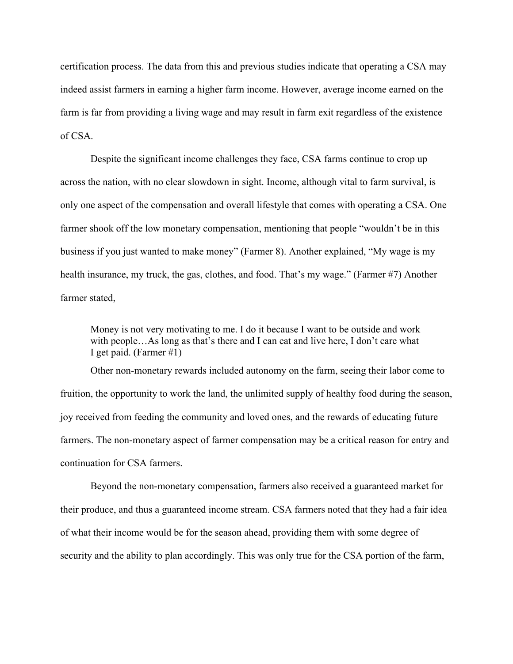certification process. The data from this and previous studies indicate that operating a CSA may indeed assist farmers in earning a higher farm income. However, average income earned on the farm is far from providing a living wage and may result in farm exit regardless of the existence of CSA.

Despite the significant income challenges they face, CSA farms continue to crop up across the nation, with no clear slowdown in sight. Income, although vital to farm survival, is only one aspect of the compensation and overall lifestyle that comes with operating a CSA. One farmer shook off the low monetary compensation, mentioning that people "wouldn't be in this business if you just wanted to make money" (Farmer 8). Another explained, "My wage is my health insurance, my truck, the gas, clothes, and food. That's my wage." (Farmer #7) Another farmer stated,

Money is not very motivating to me. I do it because I want to be outside and work with people…As long as that's there and I can eat and live here, I don't care what I get paid. (Farmer #1)

Other non-monetary rewards included autonomy on the farm, seeing their labor come to fruition, the opportunity to work the land, the unlimited supply of healthy food during the season, joy received from feeding the community and loved ones, and the rewards of educating future farmers. The non-monetary aspect of farmer compensation may be a critical reason for entry and continuation for CSA farmers.

Beyond the non-monetary compensation, farmers also received a guaranteed market for their produce, and thus a guaranteed income stream. CSA farmers noted that they had a fair idea of what their income would be for the season ahead, providing them with some degree of security and the ability to plan accordingly. This was only true for the CSA portion of the farm,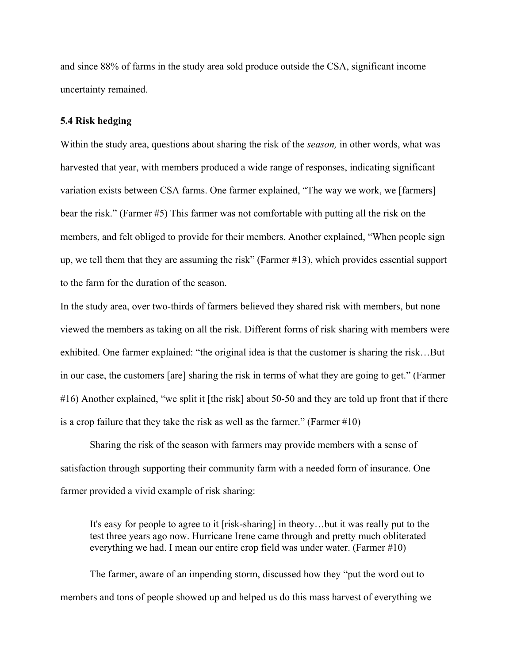and since 88% of farms in the study area sold produce outside the CSA, significant income uncertainty remained.

#### **5.4 Risk hedging**

Within the study area, questions about sharing the risk of the *season,* in other words, what was harvested that year, with members produced a wide range of responses, indicating significant variation exists between CSA farms. One farmer explained, "The way we work, we [farmers] bear the risk." (Farmer #5) This farmer was not comfortable with putting all the risk on the members, and felt obliged to provide for their members. Another explained, "When people sign up, we tell them that they are assuming the risk" (Farmer #13), which provides essential support to the farm for the duration of the season.

In the study area, over two-thirds of farmers believed they shared risk with members, but none viewed the members as taking on all the risk. Different forms of risk sharing with members were exhibited. One farmer explained: "the original idea is that the customer is sharing the risk…But in our case, the customers [are] sharing the risk in terms of what they are going to get." (Farmer #16) Another explained, "we split it [the risk] about 50-50 and they are told up front that if there is a crop failure that they take the risk as well as the farmer." (Farmer #10)

Sharing the risk of the season with farmers may provide members with a sense of satisfaction through supporting their community farm with a needed form of insurance. One farmer provided a vivid example of risk sharing:

It's easy for people to agree to it [risk-sharing] in theory…but it was really put to the test three years ago now. Hurricane Irene came through and pretty much obliterated everything we had. I mean our entire crop field was under water. (Farmer #10)

The farmer, aware of an impending storm, discussed how they "put the word out to members and tons of people showed up and helped us do this mass harvest of everything we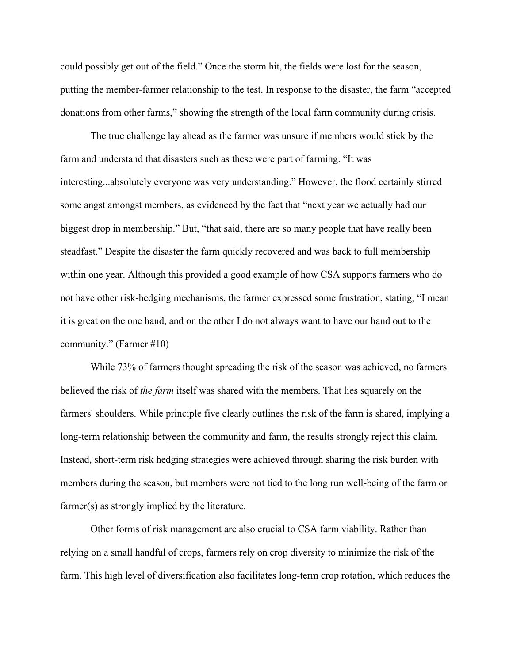could possibly get out of the field." Once the storm hit, the fields were lost for the season, putting the member-farmer relationship to the test. In response to the disaster, the farm "accepted donations from other farms," showing the strength of the local farm community during crisis.

The true challenge lay ahead as the farmer was unsure if members would stick by the farm and understand that disasters such as these were part of farming. "It was interesting...absolutely everyone was very understanding." However, the flood certainly stirred some angst amongst members, as evidenced by the fact that "next year we actually had our biggest drop in membership." But, "that said, there are so many people that have really been steadfast." Despite the disaster the farm quickly recovered and was back to full membership within one year. Although this provided a good example of how CSA supports farmers who do not have other risk-hedging mechanisms, the farmer expressed some frustration, stating, "I mean it is great on the one hand, and on the other I do not always want to have our hand out to the community." (Farmer #10)

While 73% of farmers thought spreading the risk of the season was achieved, no farmers believed the risk of *the farm* itself was shared with the members. That lies squarely on the farmers' shoulders. While principle five clearly outlines the risk of the farm is shared, implying a long-term relationship between the community and farm, the results strongly reject this claim. Instead, short-term risk hedging strategies were achieved through sharing the risk burden with members during the season, but members were not tied to the long run well-being of the farm or farmer(s) as strongly implied by the literature.

Other forms of risk management are also crucial to CSA farm viability. Rather than relying on a small handful of crops, farmers rely on crop diversity to minimize the risk of the farm. This high level of diversification also facilitates long-term crop rotation, which reduces the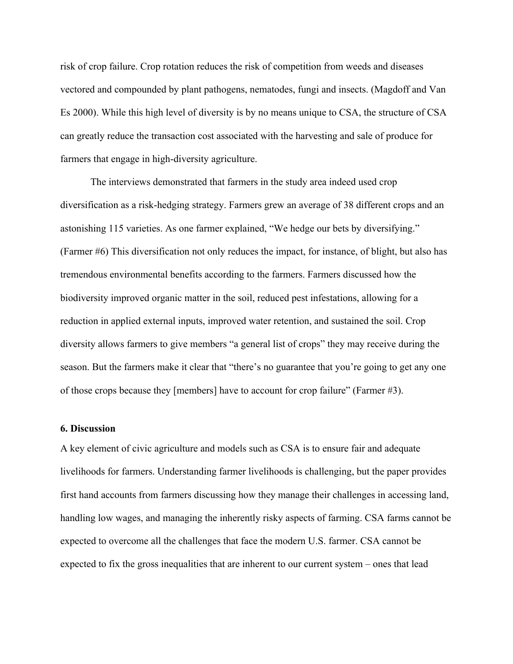risk of crop failure. Crop rotation reduces the risk of competition from weeds and diseases vectored and compounded by plant pathogens, nematodes, fungi and insects. (Magdoff and Van Es 2000). While this high level of diversity is by no means unique to CSA, the structure of CSA can greatly reduce the transaction cost associated with the harvesting and sale of produce for farmers that engage in high-diversity agriculture.

The interviews demonstrated that farmers in the study area indeed used crop diversification as a risk-hedging strategy. Farmers grew an average of 38 different crops and an astonishing 115 varieties. As one farmer explained, "We hedge our bets by diversifying." (Farmer #6) This diversification not only reduces the impact, for instance, of blight, but also has tremendous environmental benefits according to the farmers. Farmers discussed how the biodiversity improved organic matter in the soil, reduced pest infestations, allowing for a reduction in applied external inputs, improved water retention, and sustained the soil. Crop diversity allows farmers to give members "a general list of crops" they may receive during the season. But the farmers make it clear that "there's no guarantee that you're going to get any one of those crops because they [members] have to account for crop failure" (Farmer #3).

#### **6. Discussion**

A key element of civic agriculture and models such as CSA is to ensure fair and adequate livelihoods for farmers. Understanding farmer livelihoods is challenging, but the paper provides first hand accounts from farmers discussing how they manage their challenges in accessing land, handling low wages, and managing the inherently risky aspects of farming. CSA farms cannot be expected to overcome all the challenges that face the modern U.S. farmer. CSA cannot be expected to fix the gross inequalities that are inherent to our current system – ones that lead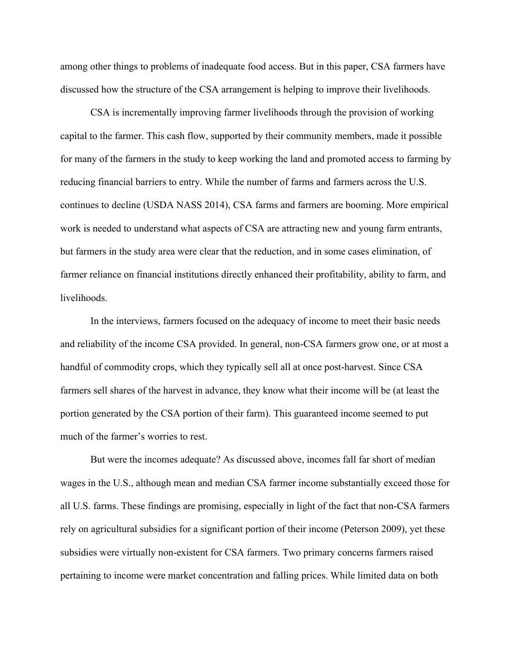among other things to problems of inadequate food access. But in this paper, CSA farmers have discussed how the structure of the CSA arrangement is helping to improve their livelihoods.

CSA is incrementally improving farmer livelihoods through the provision of working capital to the farmer. This cash flow, supported by their community members, made it possible for many of the farmers in the study to keep working the land and promoted access to farming by reducing financial barriers to entry. While the number of farms and farmers across the U.S. continues to decline (USDA NASS 2014), CSA farms and farmers are booming. More empirical work is needed to understand what aspects of CSA are attracting new and young farm entrants, but farmers in the study area were clear that the reduction, and in some cases elimination, of farmer reliance on financial institutions directly enhanced their profitability, ability to farm, and livelihoods.

In the interviews, farmers focused on the adequacy of income to meet their basic needs and reliability of the income CSA provided. In general, non-CSA farmers grow one, or at most a handful of commodity crops, which they typically sell all at once post-harvest. Since CSA farmers sell shares of the harvest in advance, they know what their income will be (at least the portion generated by the CSA portion of their farm). This guaranteed income seemed to put much of the farmer's worries to rest.

But were the incomes adequate? As discussed above, incomes fall far short of median wages in the U.S., although mean and median CSA farmer income substantially exceed those for all U.S. farms. These findings are promising, especially in light of the fact that non-CSA farmers rely on agricultural subsidies for a significant portion of their income (Peterson 2009), yet these subsidies were virtually non-existent for CSA farmers. Two primary concerns farmers raised pertaining to income were market concentration and falling prices. While limited data on both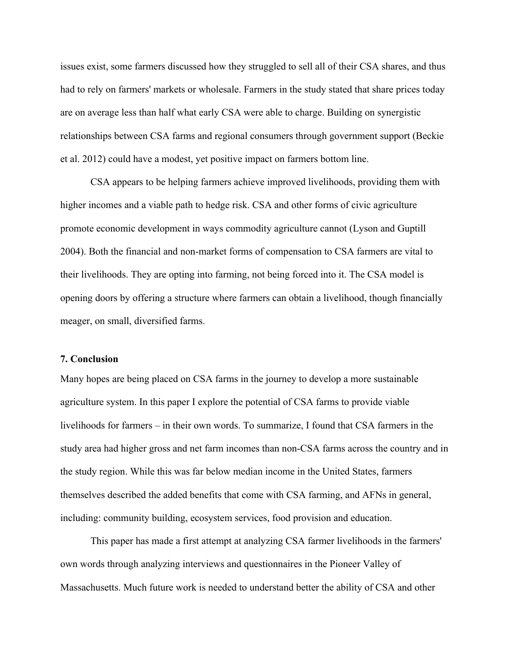issues exist, some farmers discussed how they struggled to sell all of their CSA shares, and thus had to rely on farmers' markets or wholesale. Farmers in the study stated that share prices today are on average less than half what early CSA were able to charge. Building on synergistic relationships between CSA farms and regional consumers through government support (Beckie et al. 2012) could have a modest, yet positive impact on farmers bottom line.

CSA appears to be helping farmers achieve improved livelihoods, providing them with higher incomes and a viable path to hedge risk. CSA and other forms of civic agriculture promote economic development in ways commodity agriculture cannot (Lyson and Guptill 2004). Both the financial and non-market forms of compensation to CSA farmers are vital to their livelihoods. They are opting into farming, not being forced into it. The CSA model is opening doors by offering a structure where farmers can obtain a livelihood, though financially meager, on small, diversified farms.

#### **7. Conclusion**

Many hopes are being placed on CSA farms in the journey to develop a more sustainable agriculture system. In this paper I explore the potential of CSA farms to provide viable livelihoods for farmers – in their own words. To summarize, I found that CSA farmers in the study area had higher gross and net farm incomes than non-CSA farms across the country and in the study region. While this was far below median income in the United States, farmers themselves described the added benefits that come with CSA farming, and AFNs in general, including: community building, ecosystem services, food provision and education.

This paper has made a first attempt at analyzing CSA farmer livelihoods in the farmers' own words through analyzing interviews and questionnaires in the Pioneer Valley of Massachusetts. Much future work is needed to understand better the ability of CSA and other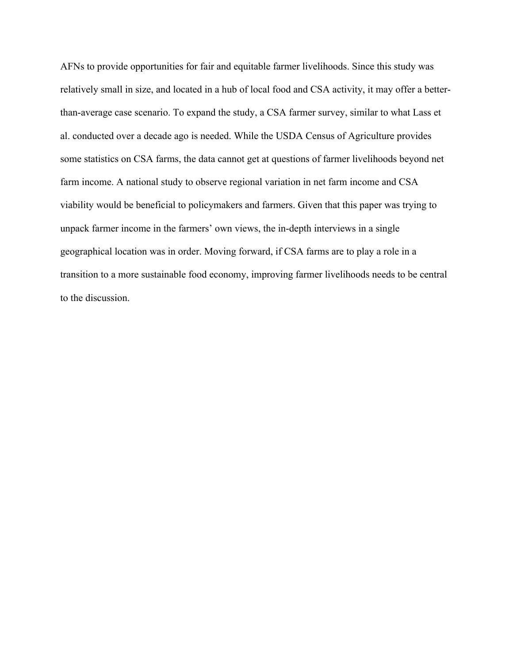AFNs to provide opportunities for fair and equitable farmer livelihoods. Since this study was relatively small in size, and located in a hub of local food and CSA activity, it may offer a betterthan-average case scenario. To expand the study, a CSA farmer survey, similar to what Lass et al. conducted over a decade ago is needed. While the USDA Census of Agriculture provides some statistics on CSA farms, the data cannot get at questions of farmer livelihoods beyond net farm income. A national study to observe regional variation in net farm income and CSA viability would be beneficial to policymakers and farmers. Given that this paper was trying to unpack farmer income in the farmers' own views, the in-depth interviews in a single geographical location was in order. Moving forward, if CSA farms are to play a role in a transition to a more sustainable food economy, improving farmer livelihoods needs to be central to the discussion.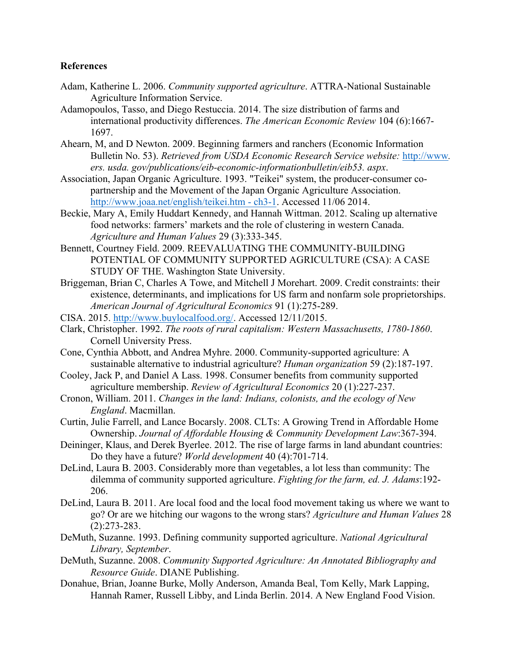#### **References**

- Adam, Katherine L. 2006. *Community supported agriculture*. ATTRA-National Sustainable Agriculture Information Service.
- Adamopoulos, Tasso, and Diego Restuccia. 2014. The size distribution of farms and international productivity differences. *The American Economic Review* 104 (6):1667- 1697.
- Ahearn, M, and D Newton. 2009. Beginning farmers and ranchers (Economic Information Bulletin No. 53). *Retrieved from USDA Economic Research Service website:* http://www*. ers. usda. gov/publications/eib-economic-informationbulletin/eib53. aspx*.
- Association, Japan Organic Agriculture. 1993. "Teikei" system, the producer-consumer copartnership and the Movement of the Japan Organic Agriculture Association. http://www.joaa.net/english/teikei.htm - ch3-1. Accessed 11/06 2014.
- Beckie, Mary A, Emily Huddart Kennedy, and Hannah Wittman. 2012. Scaling up alternative food networks: farmers' markets and the role of clustering in western Canada. *Agriculture and Human Values* 29 (3):333-345.
- Bennett, Courtney Field. 2009. REEVALUATING THE COMMUNITY-BUILDING POTENTIAL OF COMMUNITY SUPPORTED AGRICULTURE (CSA): A CASE STUDY OF THE. Washington State University.
- Briggeman, Brian C, Charles A Towe, and Mitchell J Morehart. 2009. Credit constraints: their existence, determinants, and implications for US farm and nonfarm sole proprietorships. *American Journal of Agricultural Economics* 91 (1):275-289.
- CISA. 2015. http://www.buylocalfood.org/. Accessed 12/11/2015.
- Clark, Christopher. 1992. *The roots of rural capitalism: Western Massachusetts, 1780-1860*. Cornell University Press.
- Cone, Cynthia Abbott, and Andrea Myhre. 2000. Community-supported agriculture: A sustainable alternative to industrial agriculture? *Human organization* 59 (2):187-197.
- Cooley, Jack P, and Daniel A Lass. 1998. Consumer benefits from community supported agriculture membership. *Review of Agricultural Economics* 20 (1):227-237.
- Cronon, William. 2011. *Changes in the land: Indians, colonists, and the ecology of New England*. Macmillan.
- Curtin, Julie Farrell, and Lance Bocarsly. 2008. CLTs: A Growing Trend in Affordable Home Ownership. *Journal of Affordable Housing & Community Development Law*:367-394.
- Deininger, Klaus, and Derek Byerlee. 2012. The rise of large farms in land abundant countries: Do they have a future? *World development* 40 (4):701-714.
- DeLind, Laura B. 2003. Considerably more than vegetables, a lot less than community: The dilemma of community supported agriculture. *Fighting for the farm, ed. J. Adams*:192- 206.
- DeLind, Laura B. 2011. Are local food and the local food movement taking us where we want to go? Or are we hitching our wagons to the wrong stars? *Agriculture and Human Values* 28 (2):273-283.
- DeMuth, Suzanne. 1993. Defining community supported agriculture. *National Agricultural Library, September*.
- DeMuth, Suzanne. 2008. *Community Supported Agriculture: An Annotated Bibliography and Resource Guide*. DIANE Publishing.
- Donahue, Brian, Joanne Burke, Molly Anderson, Amanda Beal, Tom Kelly, Mark Lapping, Hannah Ramer, Russell Libby, and Linda Berlin. 2014. A New England Food Vision.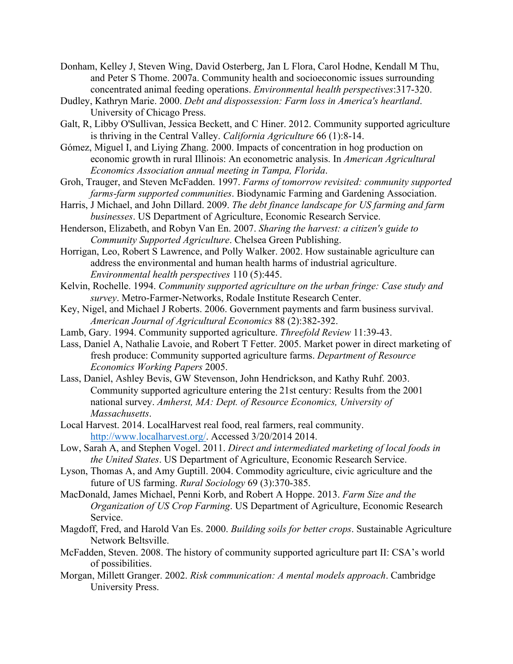- Donham, Kelley J, Steven Wing, David Osterberg, Jan L Flora, Carol Hodne, Kendall M Thu, and Peter S Thome. 2007a. Community health and socioeconomic issues surrounding concentrated animal feeding operations. *Environmental health perspectives*:317-320.
- Dudley, Kathryn Marie. 2000. *Debt and dispossession: Farm loss in America's heartland*. University of Chicago Press.
- Galt, R, Libby O'Sullivan, Jessica Beckett, and C Hiner. 2012. Community supported agriculture is thriving in the Central Valley. *California Agriculture* 66 (1):8-14.
- Gómez, Miguel I, and Liying Zhang. 2000. Impacts of concentration in hog production on economic growth in rural Illinois: An econometric analysis. In *American Agricultural Economics Association annual meeting in Tampa, Florida*.
- Groh, Trauger, and Steven McFadden. 1997. *Farms of tomorrow revisited: community supported farms-farm supported communities*. Biodynamic Farming and Gardening Association.
- Harris, J Michael, and John Dillard. 2009. *The debt finance landscape for US farming and farm businesses*. US Department of Agriculture, Economic Research Service.
- Henderson, Elizabeth, and Robyn Van En. 2007. *Sharing the harvest: a citizen's guide to Community Supported Agriculture*. Chelsea Green Publishing.
- Horrigan, Leo, Robert S Lawrence, and Polly Walker. 2002. How sustainable agriculture can address the environmental and human health harms of industrial agriculture. *Environmental health perspectives* 110 (5):445.
- Kelvin, Rochelle. 1994. *Community supported agriculture on the urban fringe: Case study and survey*. Metro-Farmer-Networks, Rodale Institute Research Center.
- Key, Nigel, and Michael J Roberts. 2006. Government payments and farm business survival. *American Journal of Agricultural Economics* 88 (2):382-392.
- Lamb, Gary. 1994. Community supported agriculture. *Threefold Review* 11:39-43.
- Lass, Daniel A, Nathalie Lavoie, and Robert T Fetter. 2005. Market power in direct marketing of fresh produce: Community supported agriculture farms. *Department of Resource Economics Working Papers* 2005.
- Lass, Daniel, Ashley Bevis, GW Stevenson, John Hendrickson, and Kathy Ruhf. 2003. Community supported agriculture entering the 21st century: Results from the 2001 national survey. *Amherst, MA: Dept. of Resource Economics, University of Massachusetts*.
- Local Harvest. 2014. LocalHarvest real food, real farmers, real community. http://www.localharvest.org/. Accessed 3/20/2014 2014.
- Low, Sarah A, and Stephen Vogel. 2011. *Direct and intermediated marketing of local foods in the United States*. US Department of Agriculture, Economic Research Service.
- Lyson, Thomas A, and Amy Guptill. 2004. Commodity agriculture, civic agriculture and the future of US farming. *Rural Sociology* 69 (3):370-385.
- MacDonald, James Michael, Penni Korb, and Robert A Hoppe. 2013. *Farm Size and the Organization of US Crop Farming*. US Department of Agriculture, Economic Research Service.
- Magdoff, Fred, and Harold Van Es. 2000. *Building soils for better crops*. Sustainable Agriculture Network Beltsville.
- McFadden, Steven. 2008. The history of community supported agriculture part II: CSA's world of possibilities.
- Morgan, Millett Granger. 2002. *Risk communication: A mental models approach*. Cambridge University Press.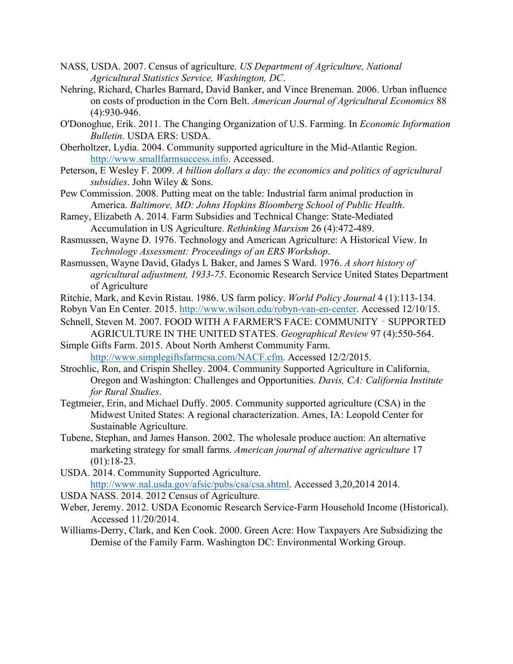- NASS, USDA. 2007. Census of agriculture. *US Department of Agriculture, National Agricultural Statistics Service, Washington, DC*.
- Nehring, Richard, Charles Barnard, David Banker, and Vince Breneman. 2006. Urban influence on costs of production in the Corn Belt. *American Journal of Agricultural Economics* 88 (4):930-946.
- O'Donoghue, Erik. 2011. The Changing Organization of U.S. Farming. In *Economic Information Bulletin*. USDA ERS: USDA.
- Oberholtzer, Lydia. 2004. Community supported agriculture in the Mid-Atlantic Region. http://www.smallfarmsuccess.info. Accessed.
- Peterson, E Wesley F. 2009. *A billion dollars a day: the economics and politics of agricultural subsidies*. John Wiley & Sons.
- Pew Commission. 2008. Putting meat on the table: Industrial farm animal production in America. *Baltimore, MD: Johns Hopkins Bloomberg School of Public Health*.
- Ramey, Elizabeth A. 2014. Farm Subsidies and Technical Change: State-Mediated Accumulation in US Agriculture. *Rethinking Marxism* 26 (4):472-489.
- Rasmussen, Wayne D. 1976. Technology and American Agriculture: A Historical View. In *Technology Assessment: Proceedings of an ERS Workshop*.
- Rasmussen, Wayne David, Gladys L Baker, and James S Ward. 1976. *A short history of agricultural adjustment, 1933-75*. Economic Research Service United States Department of Agriculture
- Ritchie, Mark, and Kevin Ristau. 1986. US farm policy. *World Policy Journal* 4 (1):113-134.
- Robyn Van En Center. 2015. http://www.wilson.edu/robyn-van-en-center. Accessed 12/10/15.
- Schnell, Steven M. 2007. FOOD WITH A FARMER'S FACE: COMMUNITY SUPPORTED AGRICULTURE IN THE UNITED STATES. *Geographical Review* 97 (4):550-564.
- Simple Gifts Farm. 2015. About North Amherst Community Farm. http://www.simplegiftsfarmcsa.com/NACF.cfm. Accessed 12/2/2015.
- Strochlic, Ron, and Crispin Shelley. 2004. Community Supported Agriculture in California, Oregon and Washington: Challenges and Opportunities. *Davis, CA: California Institute for Rural Studies*.
- Tegtmeier, Erin, and Michael Duffy. 2005. Community supported agriculture (CSA) in the Midwest United States: A regional characterization. Ames, IA: Leopold Center for Sustainable Agriculture.
- Tubene, Stephan, and James Hanson. 2002. The wholesale produce auction: An alternative marketing strategy for small farms. *American journal of alternative agriculture* 17  $(01):18-23.$
- USDA. 2014. Community Supported Agriculture. http://www.nal.usda.gov/afsic/pubs/csa/csa.shtml. Accessed 3,20,2014 2014.
- USDA NASS. 2014. 2012 Census of Agriculture.
- Weber, Jeremy. 2012. USDA Economic Research Service-Farm Household Income (Historical). Accessed 11/20/2014.
- Williams-Derry, Clark, and Ken Cook. 2000. Green Acre: How Taxpayers Are Subsidizing the Demise of the Family Farm. Washington DC: Environmental Working Group.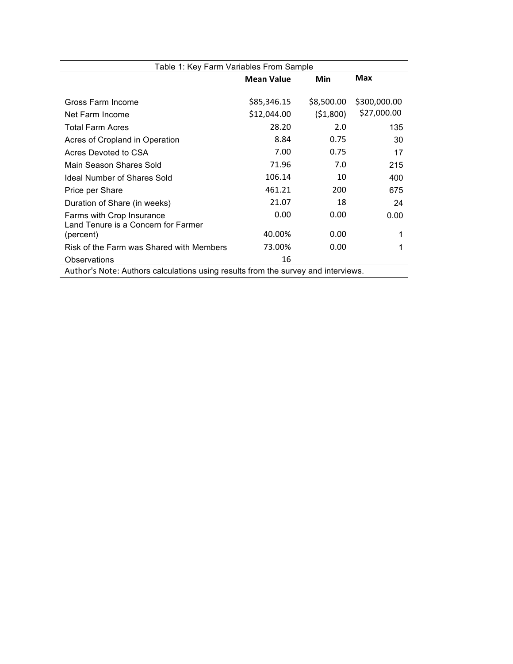| Table 1: Key Farm Variables From Sample                                           |                   |            |              |  |
|-----------------------------------------------------------------------------------|-------------------|------------|--------------|--|
|                                                                                   | <b>Mean Value</b> | Min        | <b>Max</b>   |  |
| Gross Farm Income                                                                 | \$85,346.15       | \$8,500.00 | \$300,000.00 |  |
| Net Farm Income                                                                   | \$12,044.00       | (51,800)   | \$27,000.00  |  |
| <b>Total Farm Acres</b>                                                           | 28.20             | 2.0        | 135          |  |
| Acres of Cropland in Operation                                                    | 8.84              | 0.75       | 30           |  |
| Acres Devoted to CSA                                                              | 7.00              | 0.75       | 17           |  |
| Main Season Shares Sold                                                           | 71.96             | 7.0        | 215          |  |
| Ideal Number of Shares Sold                                                       | 106.14            | 10         | 400          |  |
| Price per Share                                                                   | 461.21            | 200        | 675          |  |
| Duration of Share (in weeks)                                                      | 21.07             | 18         | 24           |  |
| Farms with Crop Insurance<br>Land Tenure is a Concern for Farmer                  | 0.00              | 0.00       | 0.00         |  |
| (percent)                                                                         | 40.00%            | 0.00       |              |  |
| Risk of the Farm was Shared with Members                                          | 73.00%            | 0.00       | 1            |  |
| Observations                                                                      | 16                |            |              |  |
| Author's Note: Authors calculations using results from the survey and interviews. |                   |            |              |  |